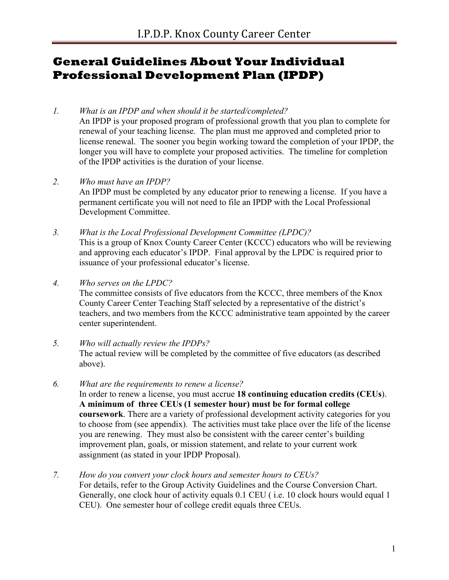### **General Guidelines About Your Individual Professional Development Plan (IPDP)**

### *1. What is an IPDP and when should it be started/completed?*

An IPDP is your proposed program of professional growth that you plan to complete for renewal of your teaching license. The plan must me approved and completed prior to license renewal. The sooner you begin working toward the completion of your IPDP, the longer you will have to complete your proposed activities. The timeline for completion of the IPDP activities is the duration of your license.

### *2. Who must have an IPDP?*

An IPDP must be completed by any educator prior to renewing a license. If you have a permanent certificate you will not need to file an IPDP with the Local Professional Development Committee.

*3. What is the Local Professional Development Committee (LPDC)?* This is a group of Knox County Career Center (KCCC) educators who will be reviewing and approving each educator's IPDP. Final approval by the LPDC is required prior to issuance of your professional educator's license.

*4. Who serves on the LPDC?*

The committee consists of five educators from the KCCC, three members of the Knox County Career Center Teaching Staff selected by a representative of the district's teachers, and two members from the KCCC administrative team appointed by the career center superintendent.

### *5. Who will actually review the IPDPs?* The actual review will be completed by the committee of five educators (as described above).

- *6. What are the requirements to renew a license?* In order to renew a license, you must accrue **18 continuing education credits (CEUs**). **A minimum of three CEUs (1 semester hour) must be for formal college coursework**. There are a variety of professional development activity categories for you to choose from (see appendix). The activities must take place over the life of the license you are renewing. They must also be consistent with the career center's building improvement plan, goals, or mission statement, and relate to your current work assignment (as stated in your IPDP Proposal).
- *7. How do you convert your clock hours and semester hours to CEUs?* For details, refer to the Group Activity Guidelines and the Course Conversion Chart. Generally, one clock hour of activity equals 0.1 CEU ( i.e. 10 clock hours would equal 1 CEU). One semester hour of college credit equals three CEUs.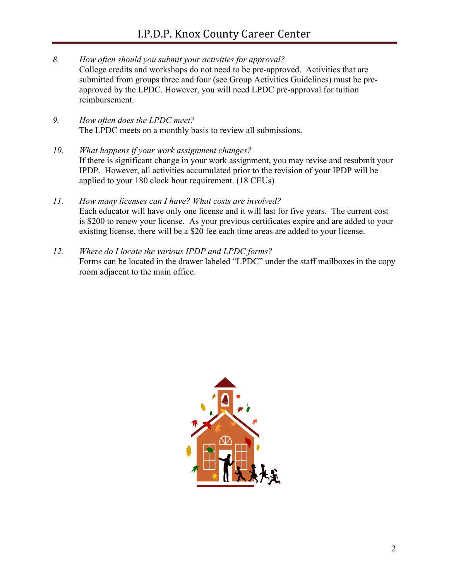- *8. How often should you submit your activities for approval?* College credits and workshops do not need to be pre-approved. Activities that are submitted from groups three and four (see Group Activities Guidelines) must be preapproved by the LPDC. However, you will need LPDC pre-approval for tuition reimbursement.
- *9. How often does the LPDC meet?* The LPDC meets on a monthly basis to review all submissions.
- *10. What happens if your work assignment changes?* If there is significant change in your work assignment, you may revise and resubmit your IPDP. However, all activities accumulated prior to the revision of your IPDP will be applied to your 180 clock hour requirement. (18 CEUs)
- *11. How many licenses can I have? What costs are involved?* Each educator will have only one license and it will last for five years. The current cost is \$200 to renew your license. As your previous certificates expire and are added to your existing license, there will be a \$20 fee each time areas are added to your license.
- *12. Where do I locate the various IPDP and LPDC forms?* Forms can be located in the drawer labeled "LPDC" under the staff mailboxes in the copy room adjacent to the main office.

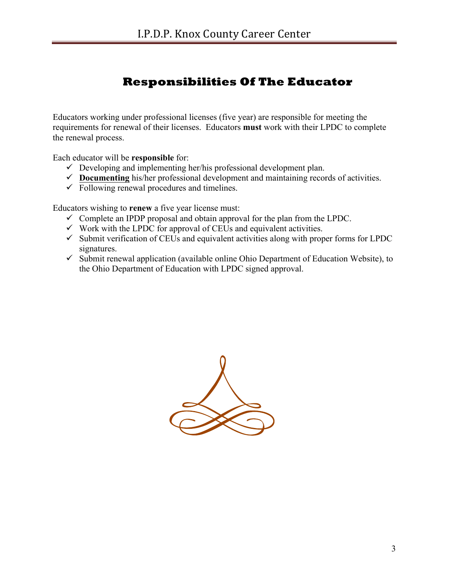## **Responsibilities Of The Educator**

Educators working under professional licenses (five year) are responsible for meeting the requirements for renewal of their licenses. Educators **must** work with their LPDC to complete the renewal process.

Each educator will be **responsible** for:

- $\checkmark$  Developing and implementing her/his professional development plan.
- $\checkmark$  **Documenting** his/her professional development and maintaining records of activities.
- $\checkmark$  Following renewal procedures and timelines.

Educators wishing to **renew** a five year license must:

- $\checkmark$  Complete an IPDP proposal and obtain approval for the plan from the LPDC.
- $\checkmark$  Work with the LPDC for approval of CEUs and equivalent activities.
- $\checkmark$  Submit verification of CEUs and equivalent activities along with proper forms for LPDC signatures.
- $\checkmark$  Submit renewal application (available online Ohio Department of Education Website), to the Ohio Department of Education with LPDC signed approval.

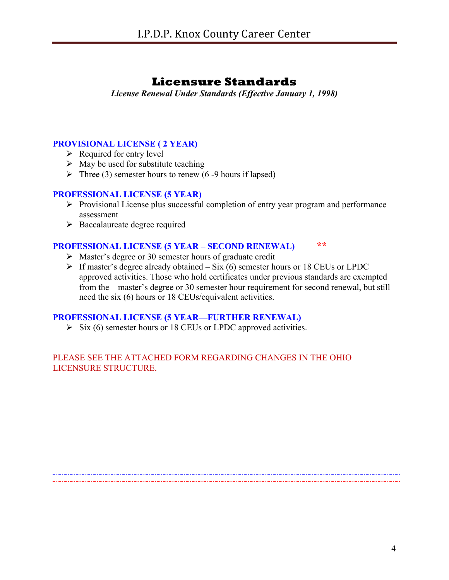### **Licensure Standards**

*License Renewal Under Standards (Effective January 1, 1998)*

### **PROVISIONAL LICENSE ( 2 YEAR)**

- $\triangleright$  Required for entry level
- $\triangleright$  May be used for substitute teaching
- $\triangleright$  Three (3) semester hours to renew (6-9 hours if lapsed)

#### **PROFESSIONAL LICENSE (5 YEAR)**

- $\triangleright$  Provisional License plus successful completion of entry year program and performance assessment
- $\triangleright$  Baccalaureate degree required

### **PROFESSIONAL LICENSE (5 YEAR – SECOND RENEWAL) \*\***

- $\triangleright$  Master's degree or 30 semester hours of graduate credit
- $\triangleright$  If master's degree already obtained Six (6) semester hours or 18 CEUs or LPDC approved activities. Those who hold certificates under previous standards are exempted from the master's degree or 30 semester hour requirement for second renewal, but still need the six (6) hours or 18 CEUs/equivalent activities.

### **PROFESSIONAL LICENSE (5 YEAR—FURTHER RENEWAL)**

 $\triangleright$  Six (6) semester hours or 18 CEUs or LPDC approved activities.

### PLEASE SEE THE ATTACHED FORM REGARDING CHANGES IN THE OHIO LICENSURE STRUCTURE.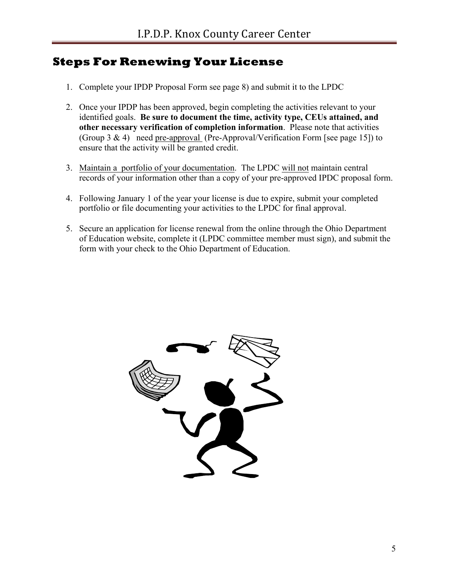### **Steps For Renewing Your License**

- 1. Complete your IPDP Proposal Form see page 8) and submit it to the LPDC
- 2. Once your IPDP has been approved, begin completing the activities relevant to your identified goals. **Be sure to document the time, activity type, CEUs attained, and other necessary verification of completion information**. Please note that activities (Group 3 & 4) need pre-approval (Pre-Approval/Verification Form [see page 15]) to ensure that the activity will be granted credit.
- 3. Maintain a portfolio of your documentation. The LPDC will not maintain central records of your information other than a copy of your pre-approved IPDC proposal form.
- 4. Following January 1 of the year your license is due to expire, submit your completed portfolio or file documenting your activities to the LPDC for final approval.
- 5. Secure an application for license renewal from the online through the Ohio Department of Education website, complete it (LPDC committee member must sign), and submit the form with your check to the Ohio Department of Education.

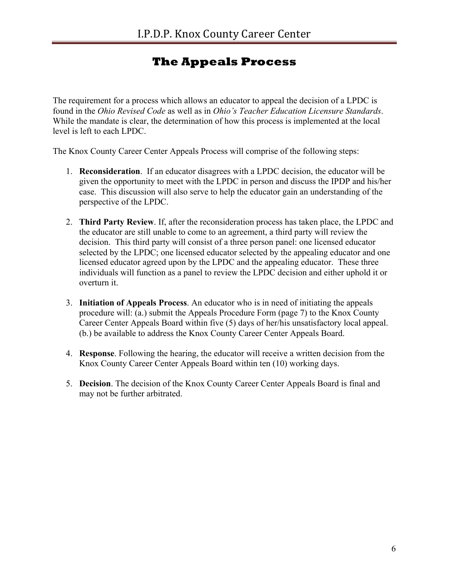## **The Appeals Process**

The requirement for a process which allows an educator to appeal the decision of a LPDC is found in the *Ohio Revised Code* as well as in *Ohio's Teacher Education Licensure Standards*. While the mandate is clear, the determination of how this process is implemented at the local level is left to each LPDC.

The Knox County Career Center Appeals Process will comprise of the following steps:

- 1. **Reconsideration**. If an educator disagrees with a LPDC decision, the educator will be given the opportunity to meet with the LPDC in person and discuss the IPDP and his/her case. This discussion will also serve to help the educator gain an understanding of the perspective of the LPDC.
- 2. **Third Party Review**. If, after the reconsideration process has taken place, the LPDC and the educator are still unable to come to an agreement, a third party will review the decision. This third party will consist of a three person panel: one licensed educator selected by the LPDC; one licensed educator selected by the appealing educator and one licensed educator agreed upon by the LPDC and the appealing educator. These three individuals will function as a panel to review the LPDC decision and either uphold it or overturn it.
- 3. **Initiation of Appeals Process**. An educator who is in need of initiating the appeals procedure will: (a.) submit the Appeals Procedure Form (page 7) to the Knox County Career Center Appeals Board within five (5) days of her/his unsatisfactory local appeal. (b.) be available to address the Knox County Career Center Appeals Board.
- 4. **Response**. Following the hearing, the educator will receive a written decision from the Knox County Career Center Appeals Board within ten (10) working days.
- 5. **Decision**. The decision of the Knox County Career Center Appeals Board is final and may not be further arbitrated.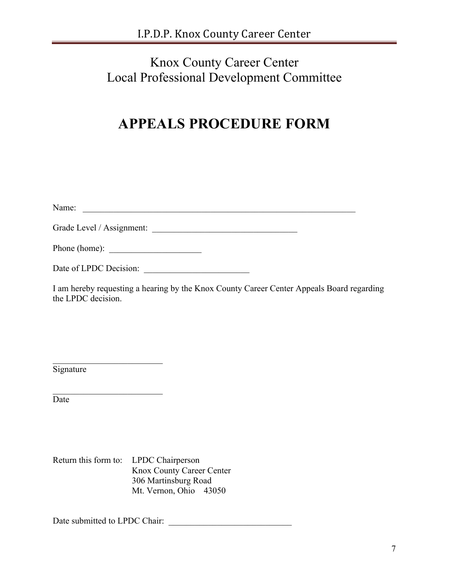## Knox County Career Center Local Professional Development Committee

# **APPEALS PROCEDURE FORM**

| Name:                         |  |
|-------------------------------|--|
| Grade Level / Assignment:     |  |
| Phone (home): $\qquad \qquad$ |  |
| Date of LPDC Decision:        |  |

I am hereby requesting a hearing by the Knox County Career Center Appeals Board regarding the LPDC decision.

**Signature** 

Date

Return this form to: LPDC Chairperson Knox County Career Center 306 Martinsburg Road Mt. Vernon, Ohio 43050

Date submitted to LPDC Chair: \_\_\_\_\_\_\_\_\_\_\_\_\_\_\_\_\_\_\_\_\_\_\_\_\_\_\_\_

 $\mathcal{L}_\text{max}$  , where  $\mathcal{L}_\text{max}$  , we have the set of the set of the set of the set of the set of the set of the set of the set of the set of the set of the set of the set of the set of the set of the set of the set of

 $\mathcal{L}_\text{max}$  , where  $\mathcal{L}_\text{max}$  , we have the set of the set of the set of the set of the set of the set of the set of the set of the set of the set of the set of the set of the set of the set of the set of the set of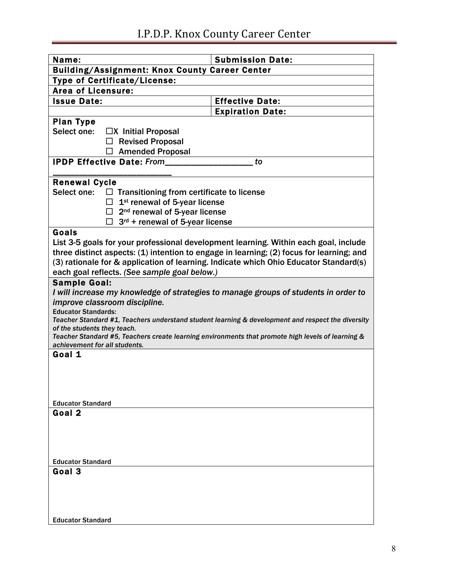| Name:                                                                                                                            |                                                       | <b>Submission Date:</b>                                                                           |  |
|----------------------------------------------------------------------------------------------------------------------------------|-------------------------------------------------------|---------------------------------------------------------------------------------------------------|--|
|                                                                                                                                  | <b>Building/Assignment: Knox County Career Center</b> |                                                                                                   |  |
| <b>Type of Certificate/License:</b>                                                                                              |                                                       |                                                                                                   |  |
| <b>Area of Licensure:</b>                                                                                                        |                                                       |                                                                                                   |  |
| <b>Issue Date:</b>                                                                                                               |                                                       | <b>Effective Date:</b>                                                                            |  |
|                                                                                                                                  |                                                       | <b>Expiration Date:</b>                                                                           |  |
| <b>Plan Type</b>                                                                                                                 |                                                       |                                                                                                   |  |
| Select one:                                                                                                                      | $\Box X$ Initial Proposal                             |                                                                                                   |  |
|                                                                                                                                  | <b>Revised Proposal</b>                               |                                                                                                   |  |
|                                                                                                                                  | $\Box$ Amended Proposal                               |                                                                                                   |  |
|                                                                                                                                  | <b>IPDP Effective Date: From</b>                      | to                                                                                                |  |
| <b>Renewal Cycle</b>                                                                                                             |                                                       |                                                                                                   |  |
| Select one:                                                                                                                      | $\Box$ Transitioning from certificate to license      |                                                                                                   |  |
|                                                                                                                                  | 1 <sup>st</sup> renewal of 5-year license             |                                                                                                   |  |
|                                                                                                                                  | $\Box$ 2 <sup>nd</sup> renewal of 5-year license      |                                                                                                   |  |
|                                                                                                                                  | $\Box$ 3 <sup>rd</sup> + renewal of 5-year license    |                                                                                                   |  |
| Goals                                                                                                                            |                                                       |                                                                                                   |  |
|                                                                                                                                  |                                                       | List 3-5 goals for your professional development learning. Within each goal, include              |  |
|                                                                                                                                  |                                                       | three distinct aspects: (1) intention to engage in learning; (2) focus for learning; and          |  |
|                                                                                                                                  |                                                       | (3) rationale for & application of learning. Indicate which Ohio Educator Standard(s)             |  |
|                                                                                                                                  | each goal reflects. (See sample goal below.)          |                                                                                                   |  |
| <b>Sample Goal:</b>                                                                                                              |                                                       |                                                                                                   |  |
|                                                                                                                                  |                                                       | I will increase my knowledge of strategies to manage groups of students in order to               |  |
| improve classroom discipline.                                                                                                    |                                                       |                                                                                                   |  |
| <b>Educator Standards:</b>                                                                                                       |                                                       |                                                                                                   |  |
| Teacher Standard #1, Teachers understand student learning & development and respect the diversity<br>of the students they teach. |                                                       |                                                                                                   |  |
|                                                                                                                                  |                                                       | Teacher Standard #5, Teachers create learning environments that promote high levels of learning & |  |
| achievement for all students.                                                                                                    |                                                       |                                                                                                   |  |
| Goal 1                                                                                                                           |                                                       |                                                                                                   |  |
|                                                                                                                                  |                                                       |                                                                                                   |  |
|                                                                                                                                  |                                                       |                                                                                                   |  |
|                                                                                                                                  |                                                       |                                                                                                   |  |
| <b>Educator Standard</b>                                                                                                         |                                                       |                                                                                                   |  |
| Goal 2                                                                                                                           |                                                       |                                                                                                   |  |
|                                                                                                                                  |                                                       |                                                                                                   |  |
|                                                                                                                                  |                                                       |                                                                                                   |  |
|                                                                                                                                  |                                                       |                                                                                                   |  |
|                                                                                                                                  |                                                       |                                                                                                   |  |
| <b>Educator Standard</b>                                                                                                         |                                                       |                                                                                                   |  |
| Goal 3                                                                                                                           |                                                       |                                                                                                   |  |
|                                                                                                                                  |                                                       |                                                                                                   |  |
|                                                                                                                                  |                                                       |                                                                                                   |  |
|                                                                                                                                  |                                                       |                                                                                                   |  |
| <b>Educator Standard</b>                                                                                                         |                                                       |                                                                                                   |  |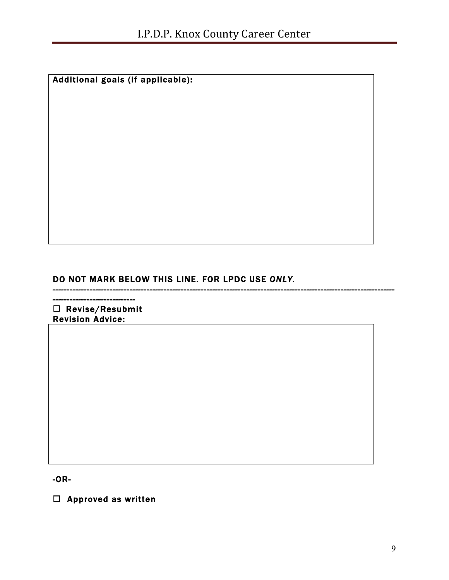Additional goals (if applicable):

DO NOT MARK BELOW THIS LINE. FOR LPDC USE *ONLY.* 

*------------------------------------------------------------------------------------------------------------------------*

*-----------------------------*   $\square$  Revise/Resubmit Revision Advice:

-OR-

 $\Box$  Approved as written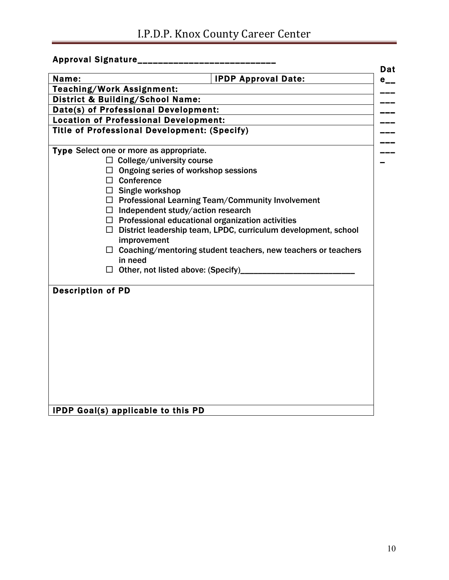# I.P.D.P. Knox County Career Center

| Approval Signature___________________               |                                                                       |                 |
|-----------------------------------------------------|-----------------------------------------------------------------------|-----------------|
| Name:                                               | <b>IPDP Approval Date:</b>                                            | Dat<br>$e_{--}$ |
| <b>Teaching/Work Assignment:</b>                    |                                                                       |                 |
| <b>District &amp; Building/School Name:</b>         |                                                                       |                 |
| Date(s) of Professional Development:                |                                                                       |                 |
| <b>Location of Professional Development:</b>        |                                                                       |                 |
| <b>Title of Professional Development: (Specify)</b> |                                                                       |                 |
| Type Select one or more as appropriate.             |                                                                       |                 |
| $\Box$ College/university course                    |                                                                       |                 |
|                                                     | $\Box$ Ongoing series of workshop sessions                            |                 |
| $\Box$ Conference                                   |                                                                       |                 |
| $\Box$ Single workshop                              |                                                                       |                 |
|                                                     | $\Box$ Professional Learning Team/Community Involvement               |                 |
|                                                     | $\Box$ Independent study/action research                              |                 |
|                                                     | $\Box$ Professional educational organization activities               |                 |
|                                                     | $\Box$ District leadership team, LPDC, curriculum development, school |                 |
| improvement                                         |                                                                       |                 |
|                                                     | $\Box$ Coaching/mentoring student teachers, new teachers or teachers  |                 |
| in need                                             |                                                                       |                 |
|                                                     | $\Box$ Other, not listed above: (Specify)_______                      |                 |
| <b>Description of PD</b>                            |                                                                       |                 |
|                                                     |                                                                       |                 |
|                                                     |                                                                       |                 |
|                                                     |                                                                       |                 |
|                                                     |                                                                       |                 |
|                                                     |                                                                       |                 |
|                                                     |                                                                       |                 |
|                                                     |                                                                       |                 |
|                                                     |                                                                       |                 |
|                                                     |                                                                       |                 |
|                                                     |                                                                       |                 |
|                                                     |                                                                       |                 |
| <b>IPDP Goal(s) applicable to this PD</b>           |                                                                       |                 |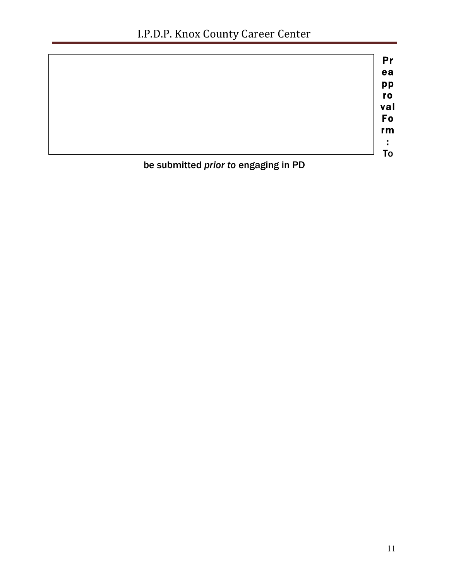|                                      | Pr  |
|--------------------------------------|-----|
|                                      | ea  |
|                                      | pp  |
|                                      | ro  |
|                                      | val |
|                                      | Fo  |
|                                      | rm  |
|                                      |     |
|                                      | To  |
| be submitted prior to engaging in PD |     |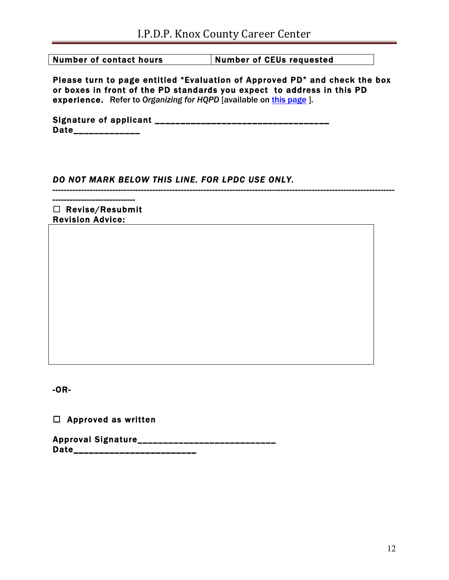Number of contact hours **Number of CEUs requested** 

Please turn to page entitled "Evaluation of Approved PD" and check the box or boxes in front of the PD standards you expect to address in this PD experience. Refer to *Organizing for HQPD* [available on this page ].

*------------------------------------------------------------------------------------------------------------------------*

Signature of applicant \_\_\_\_\_\_\_\_\_\_\_\_\_\_\_\_\_\_\_\_\_\_\_\_\_\_\_\_\_\_\_\_\_\_ Date\_\_\_\_\_\_\_\_\_\_\_\_\_

### *DO NOT MARK BELOW THIS LINE. FOR LPDC USE ONLY.*

*-----------------------------*   $\Box$  Revise/Resubmit Revision Advice:

-OR-

 $\square$  Approved as written

Approval Signature\_\_\_\_\_\_\_\_\_\_\_\_\_\_\_\_\_ Date\_\_\_\_\_\_\_\_\_\_\_\_\_\_\_\_\_\_\_\_\_\_\_\_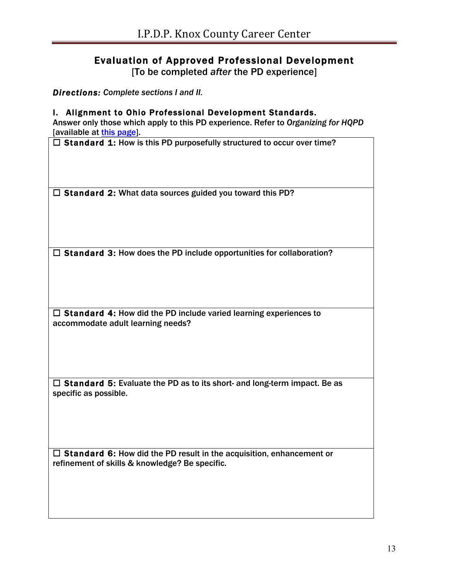### Evaluation of Approved Professional Development

[To be completed *after* the PD experience]

*Directions: Complete sections I and II.*

#### I. Alignment to Ohio Professional Development Standards.

Answer only those which apply to this PD experience. Refer to *Organizing for HQPD* [available at this page].

 $\Box$  Standard 1: How is this PD purposefully structured to occur over time?

 $\square$  Standard 2: What data sources guided you toward this PD?

 $\square$  Standard 3: How does the PD include opportunities for collaboration?

 $\square$  Standard 4: How did the PD include varied learning experiences to accommodate adult learning needs?

 $\Box$  Standard 5: Evaluate the PD as to its short- and long-term impact. Be as specific as possible.

 $\Box$  Standard 6: How did the PD result in the acquisition, enhancement or refinement of skills & knowledge? Be specific.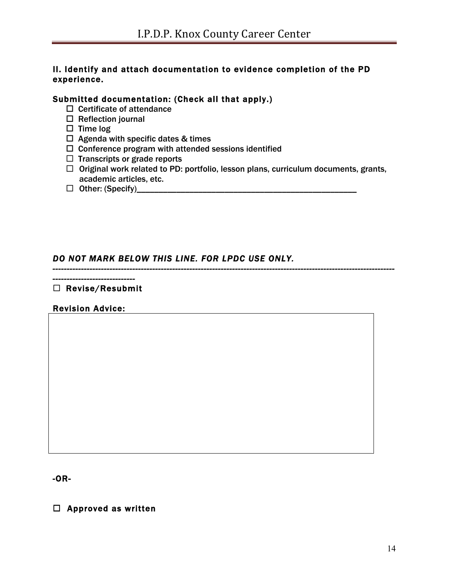### II. Identify and attach documentation to evidence completion of the PD experience.

### Submitted documentation: (Check all that apply.)

- $\Box$  Certificate of attendance
- $\square$  Reflection journal
- $\square$  Time log
- $\Box$  Agenda with specific dates & times
- $\Box$  Conference program with attended sessions identified
- $\Box$  Transcripts or grade reports
- $\Box$  Original work related to PD: portfolio, lesson plans, curriculum documents, grants, academic articles, etc.

*------------------------------------------------------------------------------------------------------------------------*

¨ Other: (Specify)\_\_\_\_\_\_\_\_\_\_\_\_\_\_\_\_\_\_\_\_\_\_\_\_\_\_\_\_\_\_\_\_\_\_\_\_\_\_\_\_\_\_\_\_\_\_\_\_\_\_

### *DO NOT MARK BELOW THIS LINE. FOR LPDC USE ONLY.*

#### *-----------------------------*   $\square$  Revise/Resubmit

### Revision Advice:

-OR-

 $\square$  Approved as written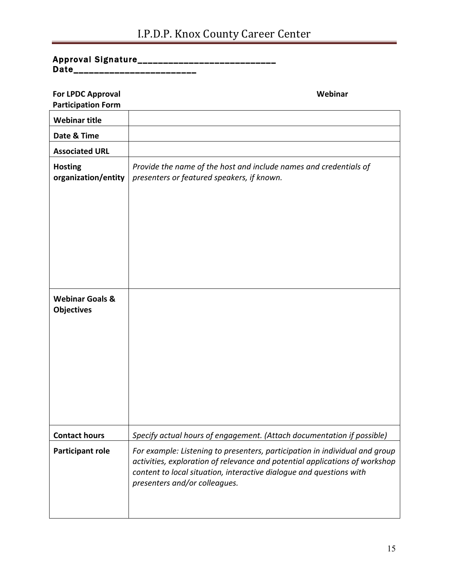# I.P.D.P. Knox County Career Center

### Approval Signature\_\_\_\_\_\_\_\_\_\_\_\_\_\_\_\_\_\_\_\_\_\_\_\_\_\_\_\_ Date\_\_\_\_\_\_\_\_\_\_\_\_\_\_\_\_\_\_\_\_\_\_\_\_\_

| <b>For LPDC Approval</b><br><b>Participation Form</b> | Webinar                                                                                                                                                                                                                                                            |
|-------------------------------------------------------|--------------------------------------------------------------------------------------------------------------------------------------------------------------------------------------------------------------------------------------------------------------------|
| <b>Webinar title</b>                                  |                                                                                                                                                                                                                                                                    |
| Date & Time                                           |                                                                                                                                                                                                                                                                    |
| <b>Associated URL</b>                                 |                                                                                                                                                                                                                                                                    |
| <b>Hosting</b><br>organization/entity                 | Provide the name of the host and include names and credentials of<br>presenters or featured speakers, if known.                                                                                                                                                    |
|                                                       |                                                                                                                                                                                                                                                                    |
| <b>Webinar Goals &amp;</b><br><b>Objectives</b>       |                                                                                                                                                                                                                                                                    |
| <b>Contact hours</b>                                  | Specify actual hours of engagement. (Attach documentation if possible)                                                                                                                                                                                             |
| <b>Participant role</b>                               | For example: Listening to presenters, participation in individual and group<br>activities, exploration of relevance and potential applications of workshop<br>content to local situation, interactive dialogue and questions with<br>presenters and/or colleagues. |